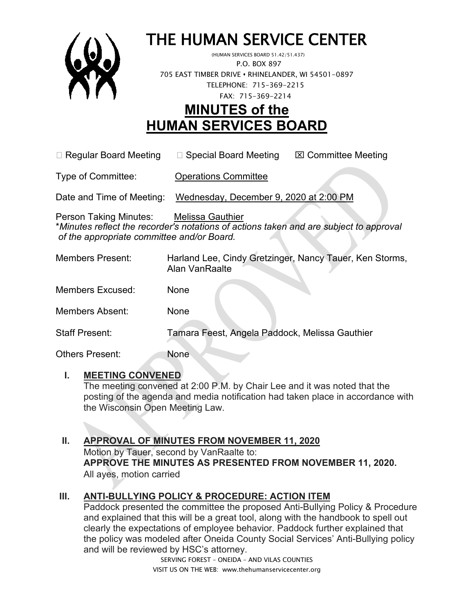

# THE HUMAN SERVICE CENTER (HUMAN SERVICES BOARD 51.42/51.437)

 P.O. BOX 897 705 EAST TIMBER DRIVE **•** RHINELANDER, WI 54501-0897 TELEPHONE: 715-369-2215 FAX: 715-369-2214

# **MINUTES of the HUMAN SERVICES BOARD**

 $\Box$  Regular Board Meeting  $\Box$  Special Board Meeting  $\Box$  Committee Meeting

Type of Committee: Operations Committee

Date and Time of Meeting: Wednesday, December 9, 2020 at 2:00 PM

Person Taking Minutes: Melissa Gauthier \**Minutes reflect the recorder's notations of actions taken and are subject to approval of the appropriate committee and/or Board.*

| <b>Members Present:</b> | Harland Lee, Cindy Gretzinger, Nancy Tauer, Ken Storms,<br>Alan VanRaalte |
|-------------------------|---------------------------------------------------------------------------|
| <b>Members Excused:</b> | None                                                                      |
| Members Absent:         | None                                                                      |
| <b>Staff Present:</b>   | Tamara Feest, Angela Paddock, Melissa Gauthier                            |
| <b>Others Present:</b>  | None                                                                      |

# **I. MEETING CONVENED**

The meeting convened at 2:00 P.M. by Chair Lee and it was noted that the posting of the agenda and media notification had taken place in accordance with the Wisconsin Open Meeting Law.

# **II. APPROVAL OF MINUTES FROM NOVEMBER 11, 2020**

Motion by Tauer, second by VanRaalte to: **APPROVE THE MINUTES AS PRESENTED FROM NOVEMBER 11, 2020.**  All ayes, motion carried

# **III. ANTI-BULLYING POLICY & PROCEDURE: ACTION ITEM**

Paddock presented the committee the proposed Anti-Bullying Policy & Procedure and explained that this will be a great tool, along with the handbook to spell out clearly the expectations of employee behavior. Paddock further explained that the policy was modeled after Oneida County Social Services' Anti-Bullying policy and will be reviewed by HSC's attorney.

SERVING FOREST – ONEIDA – AND VILAS COUNTIES VISIT US ON THE WEB: www.thehumanservicecenter.org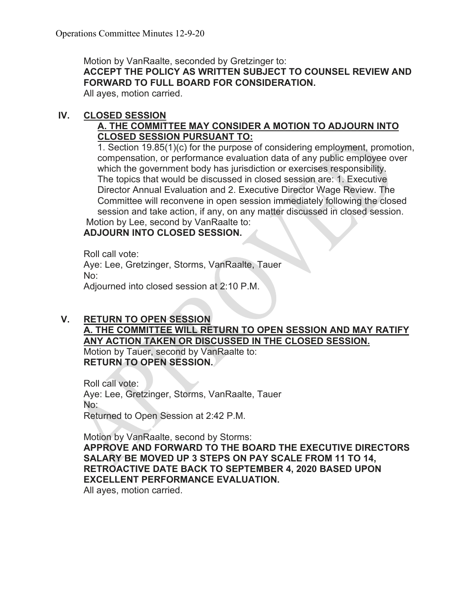Motion by VanRaalte, seconded by Gretzinger to: **ACCEPT THE POLICY AS WRITTEN SUBJECT TO COUNSEL REVIEW AND** 

**FORWARD TO FULL BOARD FOR CONSIDERATION.**

All ayes, motion carried.

#### **IV. CLOSED SESSION**

# **A. THE COMMITTEE MAY CONSIDER A MOTION TO ADJOURN INTO CLOSED SESSION PURSUANT TO:**

1. Section 19.85(1)(c) for the purpose of considering employment, promotion, compensation, or performance evaluation data of any public employee over which the government body has jurisdiction or exercises responsibility. The topics that would be discussed in closed session are: 1. Executive Director Annual Evaluation and 2. Executive Director Wage Review. The Committee will reconvene in open session immediately following the closed session and take action, if any, on any matter discussed in closed session. Motion by Lee, second by VanRaalte to:

# **ADJOURN INTO CLOSED SESSION.**

Roll call vote: Aye: Lee, Gretzinger, Storms, VanRaalte, Tauer No: Adjourned into closed session at 2:10 P.M.

# **V. RETURN TO OPEN SESSION A. THE COMMITTEE WILL RETURN TO OPEN SESSION AND MAY RATIFY ANY ACTION TAKEN OR DISCUSSED IN THE CLOSED SESSION.** Motion by Tauer, second by VanRaalte to:

**RETURN TO OPEN SESSION.**

Roll call vote: Aye: Lee, Gretzinger, Storms, VanRaalte, Tauer No: Returned to Open Session at 2:42 P.M.

Motion by VanRaalte, second by Storms: **APPROVE AND FORWARD TO THE BOARD THE EXECUTIVE DIRECTORS SALARY BE MOVED UP 3 STEPS ON PAY SCALE FROM 11 TO 14, RETROACTIVE DATE BACK TO SEPTEMBER 4, 2020 BASED UPON EXCELLENT PERFORMANCE EVALUATION.**

All ayes, motion carried.